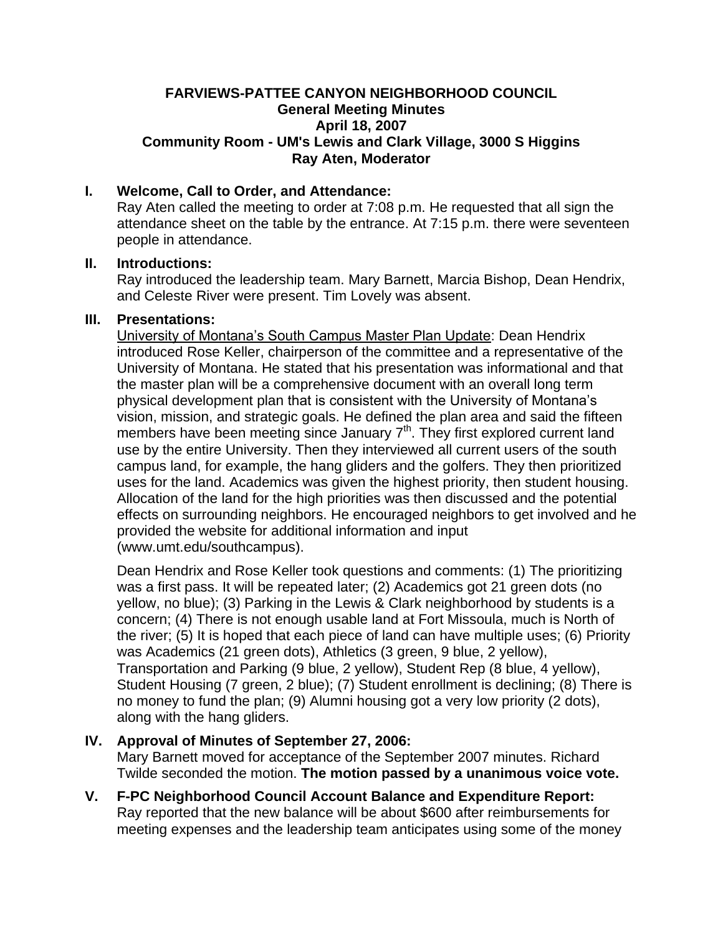## **FARVIEWS-PATTEE CANYON NEIGHBORHOOD COUNCIL General Meeting Minutes April 18, 2007 Community Room - UM's Lewis and Clark Village, 3000 S Higgins Ray Aten, Moderator**

# **I. Welcome, Call to Order, and Attendance:**

Ray Aten called the meeting to order at 7:08 p.m. He requested that all sign the attendance sheet on the table by the entrance. At 7:15 p.m. there were seventeen people in attendance.

#### **II. Introductions:**

Ray introduced the leadership team. Mary Barnett, Marcia Bishop, Dean Hendrix, and Celeste River were present. Tim Lovely was absent.

#### **III. Presentations:**

University of Montana's South Campus Master Plan Update: Dean Hendrix introduced Rose Keller, chairperson of the committee and a representative of the University of Montana. He stated that his presentation was informational and that the master plan will be a comprehensive document with an overall long term physical development plan that is consistent with the University of Montana's vision, mission, and strategic goals. He defined the plan area and said the fifteen members have been meeting since January 7<sup>th</sup>. They first explored current land use by the entire University. Then they interviewed all current users of the south campus land, for example, the hang gliders and the golfers. They then prioritized uses for the land. Academics was given the highest priority, then student housing. Allocation of the land for the high priorities was then discussed and the potential effects on surrounding neighbors. He encouraged neighbors to get involved and he provided the website for additional information and input (www.umt.edu/southcampus).

Dean Hendrix and Rose Keller took questions and comments: (1) The prioritizing was a first pass. It will be repeated later; (2) Academics got 21 green dots (no yellow, no blue); (3) Parking in the Lewis & Clark neighborhood by students is a concern; (4) There is not enough usable land at Fort Missoula, much is North of the river; (5) It is hoped that each piece of land can have multiple uses; (6) Priority was Academics (21 green dots), Athletics (3 green, 9 blue, 2 yellow), Transportation and Parking (9 blue, 2 yellow), Student Rep (8 blue, 4 yellow), Student Housing (7 green, 2 blue); (7) Student enrollment is declining; (8) There is no money to fund the plan; (9) Alumni housing got a very low priority (2 dots), along with the hang gliders.

## **IV. Approval of Minutes of September 27, 2006:**

Mary Barnett moved for acceptance of the September 2007 minutes. Richard Twilde seconded the motion. **The motion passed by a unanimous voice vote.**

**V. F-PC Neighborhood Council Account Balance and Expenditure Report:** Ray reported that the new balance will be about \$600 after reimbursements for meeting expenses and the leadership team anticipates using some of the money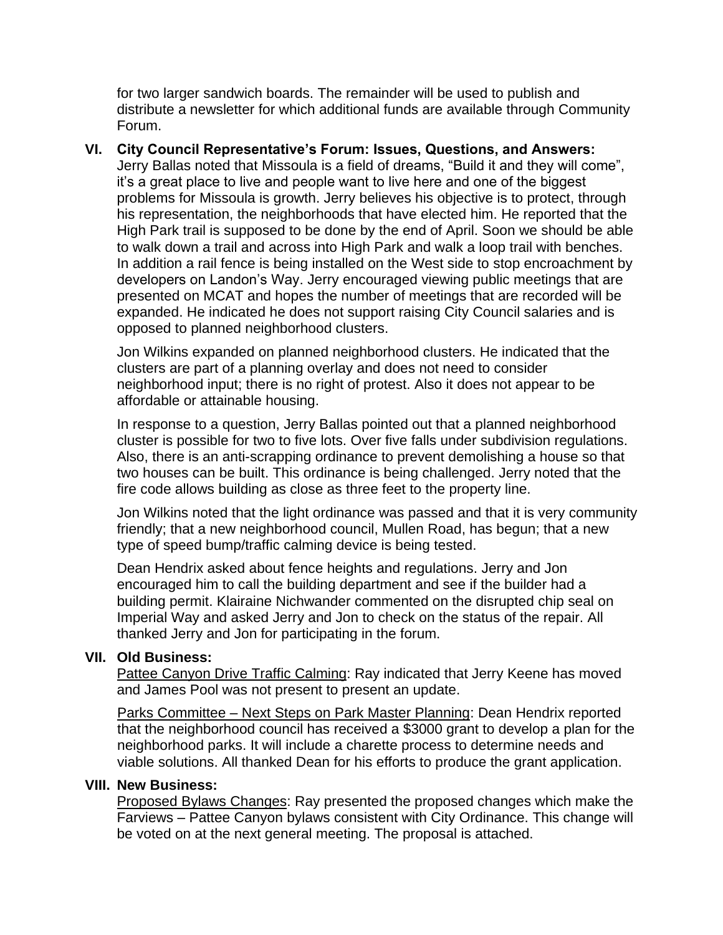for two larger sandwich boards. The remainder will be used to publish and distribute a newsletter for which additional funds are available through Community Forum.

**VI. City Council Representative's Forum: Issues, Questions, and Answers:** Jerry Ballas noted that Missoula is a field of dreams, "Build it and they will come", it's a great place to live and people want to live here and one of the biggest problems for Missoula is growth. Jerry believes his objective is to protect, through his representation, the neighborhoods that have elected him. He reported that the High Park trail is supposed to be done by the end of April. Soon we should be able to walk down a trail and across into High Park and walk a loop trail with benches. In addition a rail fence is being installed on the West side to stop encroachment by developers on Landon's Way. Jerry encouraged viewing public meetings that are presented on MCAT and hopes the number of meetings that are recorded will be expanded. He indicated he does not support raising City Council salaries and is opposed to planned neighborhood clusters.

Jon Wilkins expanded on planned neighborhood clusters. He indicated that the clusters are part of a planning overlay and does not need to consider neighborhood input; there is no right of protest. Also it does not appear to be affordable or attainable housing.

In response to a question, Jerry Ballas pointed out that a planned neighborhood cluster is possible for two to five lots. Over five falls under subdivision regulations. Also, there is an anti-scrapping ordinance to prevent demolishing a house so that two houses can be built. This ordinance is being challenged. Jerry noted that the fire code allows building as close as three feet to the property line.

Jon Wilkins noted that the light ordinance was passed and that it is very community friendly; that a new neighborhood council, Mullen Road, has begun; that a new type of speed bump/traffic calming device is being tested.

Dean Hendrix asked about fence heights and regulations. Jerry and Jon encouraged him to call the building department and see if the builder had a building permit. Klairaine Nichwander commented on the disrupted chip seal on Imperial Way and asked Jerry and Jon to check on the status of the repair. All thanked Jerry and Jon for participating in the forum.

# **VII. Old Business:**

Pattee Canyon Drive Traffic Calming: Ray indicated that Jerry Keene has moved and James Pool was not present to present an update.

Parks Committee – Next Steps on Park Master Planning: Dean Hendrix reported that the neighborhood council has received a \$3000 grant to develop a plan for the neighborhood parks. It will include a charette process to determine needs and viable solutions. All thanked Dean for his efforts to produce the grant application.

#### **VIII. New Business:**

Proposed Bylaws Changes: Ray presented the proposed changes which make the Farviews – Pattee Canyon bylaws consistent with City Ordinance. This change will be voted on at the next general meeting. The proposal is attached.